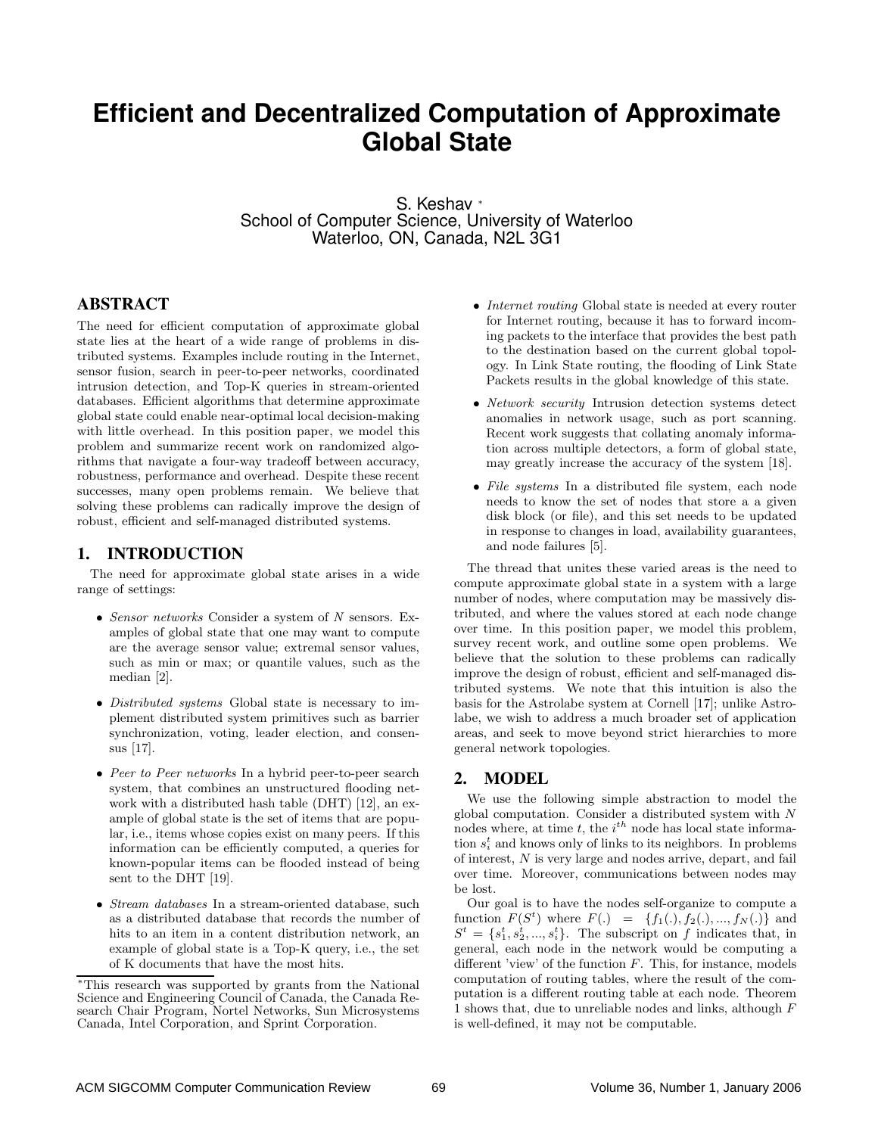# **Efficient and Decentralized Computation of Approximate Global State**

S. Keshav ∗ School of Computer Science, University of Waterloo Waterloo, ON, Canada, N2L 3G1

# **ABSTRACT**

The need for efficient computation of approximate global state lies at the heart of a wide range of problems in distributed systems. Examples include routing in the Internet, sensor fusion, search in peer-to-peer networks, coordinated intrusion detection, and Top-K queries in stream-oriented databases. Efficient algorithms that determine approximate global state could enable near-optimal local decision-making with little overhead. In this position paper, we model this problem and summarize recent work on randomized algorithms that navigate a four-way tradeoff between accuracy, robustness, performance and overhead. Despite these recent successes, many open problems remain. We believe that solving these problems can radically improve the design of robust, efficient and self-managed distributed systems.

#### **1. INTRODUCTION**

The need for approximate global state arises in a wide range of settings:

- Sensor networks Consider a system of N sensors. Examples of global state that one may want to compute are the average sensor value; extremal sensor values, such as min or max; or quantile values, such as the median [2].
- Distributed systems Global state is necessary to implement distributed system primitives such as barrier synchronization, voting, leader election, and consensus [17].
- Peer to Peer networks In a hybrid peer-to-peer search system, that combines an unstructured flooding network with a distributed hash table (DHT) [12], an example of global state is the set of items that are popular, i.e., items whose copies exist on many peers. If this information can be efficiently computed, a queries for known-popular items can be flooded instead of being sent to the DHT [19].
- Stream databases In a stream-oriented database, such as a distributed database that records the number of hits to an item in a content distribution network, an example of global state is a Top-K query, i.e., the set of K documents that have the most hits.
- *Internet routing* Global state is needed at every router for Internet routing, because it has to forward incoming packets to the interface that provides the best path to the destination based on the current global topology. In Link State routing, the flooding of Link State Packets results in the global knowledge of this state.
- Network security Intrusion detection systems detect anomalies in network usage, such as port scanning. Recent work suggests that collating anomaly information across multiple detectors, a form of global state, may greatly increase the accuracy of the system [18].
- File systems In a distributed file system, each node needs to know the set of nodes that store a a given disk block (or file), and this set needs to be updated in response to changes in load, availability guarantees, and node failures [5].

The thread that unites these varied areas is the need to compute approximate global state in a system with a large number of nodes, where computation may be massively distributed, and where the values stored at each node change over time. In this position paper, we model this problem, survey recent work, and outline some open problems. We believe that the solution to these problems can radically improve the design of robust, efficient and self-managed distributed systems. We note that this intuition is also the basis for the Astrolabe system at Cornell [17]; unlike Astrolabe, we wish to address a much broader set of application areas, and seek to move beyond strict hierarchies to more general network topologies.

# **2. MODEL**

We use the following simple abstraction to model the global computation. Consider a distributed system with N nodes where, at time t, the  $i^{th}$  node has local state information  $s_i^t$  and knows only of links to its neighbors. In problems of interest, N is very large and nodes arrive, depart, and fail over time. Moreover, communications between nodes may be lost.

Our goal is to have the nodes self-organize to compute a function  $F(S^t)$  where  $F(.) = \{f_1(.), f_2(.), ..., f_N(.)\}$  and  $S^t = \{s_1^t, s_2^t, ..., s_i^t\}.$  The subscript on f indicates that, in general, each node in the network would be computing a different 'view' of the function  $F$ . This, for instance, models computation of routing tables, where the result of the computation is a different routing table at each node. Theorem 1 shows that, due to unreliable nodes and links, although F is well-defined, it may not be computable.

<sup>∗</sup>This research was supported by grants from the National Science and Engineering Council of Canada, the Canada Research Chair Program, Nortel Networks, Sun Microsystems Canada, Intel Corporation, and Sprint Corporation.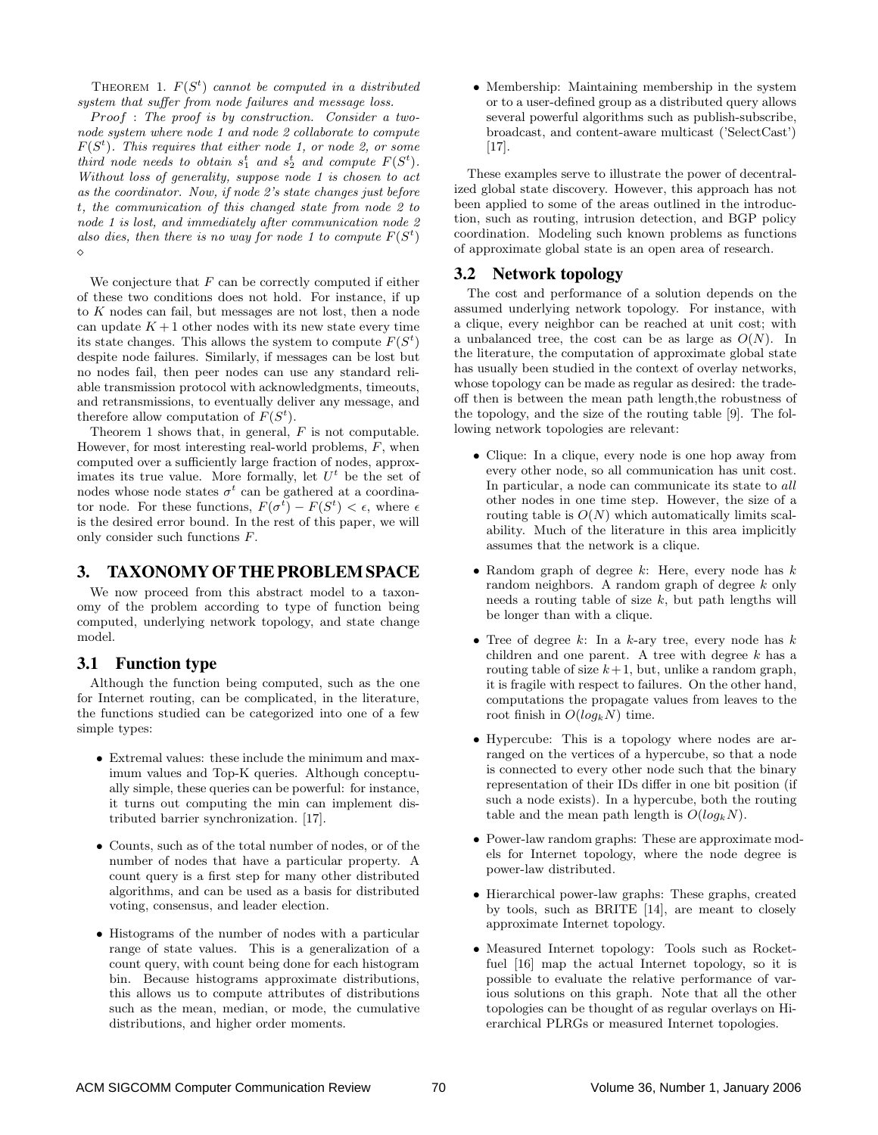THEOREM 1.  $F(S<sup>t</sup>)$  cannot be computed in a distributed system that suffer from node failures and message loss.

Proof : The proof is by construction. Consider a twonode system where node 1 and node 2 collaborate to compute  $F(S<sup>t</sup>)$ . This requires that either node 1, or node 2, or some third node needs to obtain  $s_1^t$  and  $s_2^t$  and compute  $F(S^t)$ . Without loss of generality, suppose node 1 is chosen to act as the coordinator. Now, if node 2's state changes just before t, the communication of this changed state from node 2 to node 1 is lost, and immediately after communication node 2 also dies, then there is no way for node 1 to compute  $F(S<sup>t</sup>)$  $\Diamond$ 

We conjecture that  $F$  can be correctly computed if either of these two conditions does not hold. For instance, if up to K nodes can fail, but messages are not lost, then a node can update  $K + 1$  other nodes with its new state every time its state changes. This allows the system to compute  $F(S<sup>t</sup>)$ despite node failures. Similarly, if messages can be lost but no nodes fail, then peer nodes can use any standard reliable transmission protocol with acknowledgments, timeouts, and retransmissions, to eventually deliver any message, and therefore allow computation of  $F(S^t)$ .

Theorem 1 shows that, in general,  $F$  is not computable. However, for most interesting real-world problems,  $F$ , when computed over a sufficiently large fraction of nodes, approximates its true value. More formally, let  $U^t$  be the set of nodes whose node states  $\sigma^t$  can be gathered at a coordinator node. For these functions,  $F(\sigma^t) - F(S^t) < \epsilon$ , where  $\epsilon$ is the desired error bound. In the rest of this paper, we will only consider such functions F.

#### **3. TAXONOMYOFTHEPROBLEMSPACE**

We now proceed from this abstract model to a taxonomy of the problem according to type of function being computed, underlying network topology, and state change model.

#### **3.1 Function type**

Although the function being computed, such as the one for Internet routing, can be complicated, in the literature, the functions studied can be categorized into one of a few simple types:

- Extremal values: these include the minimum and maximum values and Top-K queries. Although conceptually simple, these queries can be powerful: for instance, it turns out computing the min can implement distributed barrier synchronization. [17].
- Counts, such as of the total number of nodes, or of the number of nodes that have a particular property. A count query is a first step for many other distributed algorithms, and can be used as a basis for distributed voting, consensus, and leader election.
- Histograms of the number of nodes with a particular range of state values. This is a generalization of a count query, with count being done for each histogram bin. Because histograms approximate distributions, this allows us to compute attributes of distributions such as the mean, median, or mode, the cumulative distributions, and higher order moments.

• Membership: Maintaining membership in the system or to a user-defined group as a distributed query allows several powerful algorithms such as publish-subscribe, broadcast, and content-aware multicast ('SelectCast') [17].

These examples serve to illustrate the power of decentralized global state discovery. However, this approach has not been applied to some of the areas outlined in the introduction, such as routing, intrusion detection, and BGP policy coordination. Modeling such known problems as functions of approximate global state is an open area of research.

#### **3.2 Network topology**

The cost and performance of a solution depends on the assumed underlying network topology. For instance, with a clique, every neighbor can be reached at unit cost; with a unbalanced tree, the cost can be as large as  $O(N)$ . In the literature, the computation of approximate global state has usually been studied in the context of overlay networks, whose topology can be made as regular as desired: the tradeoff then is between the mean path length,the robustness of the topology, and the size of the routing table [9]. The following network topologies are relevant:

- Clique: In a clique, every node is one hop away from every other node, so all communication has unit cost. In particular, a node can communicate its state to all other nodes in one time step. However, the size of a routing table is  $O(N)$  which automatically limits scalability. Much of the literature in this area implicitly assumes that the network is a clique.
- Random graph of degree  $k$ : Here, every node has  $k$ random neighbors. A random graph of degree k only needs a routing table of size  $k$ , but path lengths will be longer than with a clique.
- Tree of degree  $k$ : In a  $k$ -ary tree, every node has  $k$ children and one parent. A tree with degree  $k$  has a routing table of size  $k+1$ , but, unlike a random graph, it is fragile with respect to failures. On the other hand, computations the propagate values from leaves to the root finish in  $O(log_k N)$  time.
- Hypercube: This is a topology where nodes are arranged on the vertices of a hypercube, so that a node is connected to every other node such that the binary representation of their IDs differ in one bit position (if such a node exists). In a hypercube, both the routing table and the mean path length is  $O(log_k N)$ .
- Power-law random graphs: These are approximate models for Internet topology, where the node degree is power-law distributed.
- Hierarchical power-law graphs: These graphs, created by tools, such as BRITE [14], are meant to closely approximate Internet topology.
- Measured Internet topology: Tools such as Rocketfuel [16] map the actual Internet topology, so it is possible to evaluate the relative performance of various solutions on this graph. Note that all the other topologies can be thought of as regular overlays on Hierarchical PLRGs or measured Internet topologies.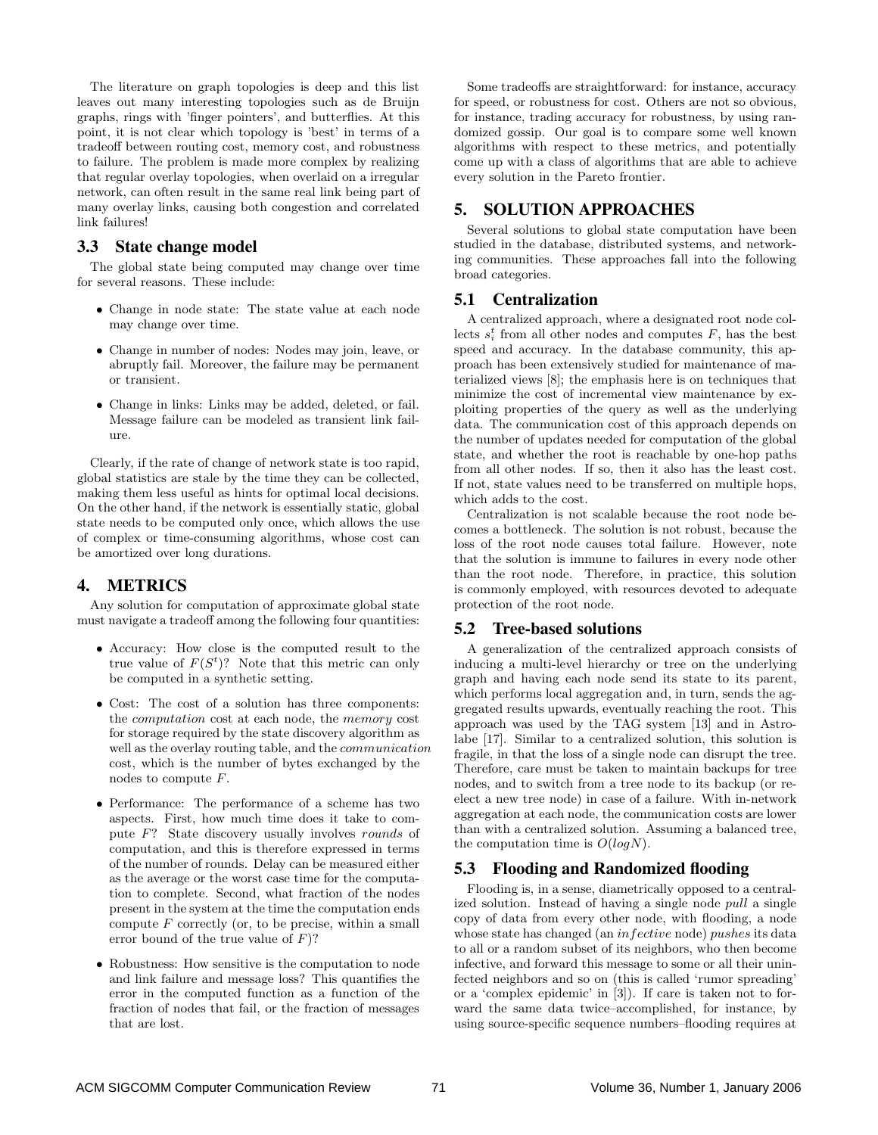The literature on graph topologies is deep and this list leaves out many interesting topologies such as de Bruijn graphs, rings with 'finger pointers', and butterflies. At this point, it is not clear which topology is 'best' in terms of a tradeoff between routing cost, memory cost, and robustness to failure. The problem is made more complex by realizing that regular overlay topologies, when overlaid on a irregular network, can often result in the same real link being part of many overlay links, causing both congestion and correlated link failures!

#### **3.3 State change model**

The global state being computed may change over time for several reasons. These include:

- Change in node state: The state value at each node may change over time.
- Change in number of nodes: Nodes may join, leave, or abruptly fail. Moreover, the failure may be permanent or transient.
- Change in links: Links may be added, deleted, or fail. Message failure can be modeled as transient link failure.

Clearly, if the rate of change of network state is too rapid, global statistics are stale by the time they can be collected, making them less useful as hints for optimal local decisions. On the other hand, if the network is essentially static, global state needs to be computed only once, which allows the use of complex or time-consuming algorithms, whose cost can be amortized over long durations.

#### **4. METRICS**

Any solution for computation of approximate global state must navigate a tradeoff among the following four quantities:

- Accuracy: How close is the computed result to the true value of  $F(S<sup>t</sup>)$ ? Note that this metric can only be computed in a synthetic setting.
- Cost: The cost of a solution has three components: the computation cost at each node, the memory cost for storage required by the state discovery algorithm as well as the overlay routing table, and the communication cost, which is the number of bytes exchanged by the nodes to compute F.
- Performance: The performance of a scheme has two aspects. First, how much time does it take to compute F? State discovery usually involves rounds of computation, and this is therefore expressed in terms of the number of rounds. Delay can be measured either as the average or the worst case time for the computation to complete. Second, what fraction of the nodes present in the system at the time the computation ends compute  $F$  correctly (or, to be precise, within a small error bound of the true value of  $F$ ?
- Robustness: How sensitive is the computation to node and link failure and message loss? This quantifies the error in the computed function as a function of the fraction of nodes that fail, or the fraction of messages that are lost.

Some tradeoffs are straightforward: for instance, accuracy for speed, or robustness for cost. Others are not so obvious, for instance, trading accuracy for robustness, by using randomized gossip. Our goal is to compare some well known algorithms with respect to these metrics, and potentially come up with a class of algorithms that are able to achieve every solution in the Pareto frontier.

# **5. SOLUTION APPROACHES**

Several solutions to global state computation have been studied in the database, distributed systems, and networking communities. These approaches fall into the following broad categories.

#### **5.1 Centralization**

A centralized approach, where a designated root node collects  $s_i^t$  from all other nodes and computes F, has the best speed and accuracy. In the database community, this approach has been extensively studied for maintenance of materialized views [8]; the emphasis here is on techniques that minimize the cost of incremental view maintenance by exploiting properties of the query as well as the underlying data. The communication cost of this approach depends on the number of updates needed for computation of the global state, and whether the root is reachable by one-hop paths from all other nodes. If so, then it also has the least cost. If not, state values need to be transferred on multiple hops, which adds to the cost.

Centralization is not scalable because the root node becomes a bottleneck. The solution is not robust, because the loss of the root node causes total failure. However, note that the solution is immune to failures in every node other than the root node. Therefore, in practice, this solution is commonly employed, with resources devoted to adequate protection of the root node.

#### **5.2 Tree-based solutions**

A generalization of the centralized approach consists of inducing a multi-level hierarchy or tree on the underlying graph and having each node send its state to its parent, which performs local aggregation and, in turn, sends the aggregated results upwards, eventually reaching the root. This approach was used by the TAG system [13] and in Astrolabe [17]. Similar to a centralized solution, this solution is fragile, in that the loss of a single node can disrupt the tree. Therefore, care must be taken to maintain backups for tree nodes, and to switch from a tree node to its backup (or reelect a new tree node) in case of a failure. With in-network aggregation at each node, the communication costs are lower than with a centralized solution. Assuming a balanced tree, the computation time is  $O(logN)$ .

#### **5.3 Flooding and Randomized flooding**

Flooding is, in a sense, diametrically opposed to a centralized solution. Instead of having a single node pull a single copy of data from every other node, with flooding, a node whose state has changed (an *infective* node) *pushes* its data to all or a random subset of its neighbors, who then become infective, and forward this message to some or all their uninfected neighbors and so on (this is called 'rumor spreading' or a 'complex epidemic' in [3]). If care is taken not to forward the same data twice–accomplished, for instance, by using source-specific sequence numbers–flooding requires at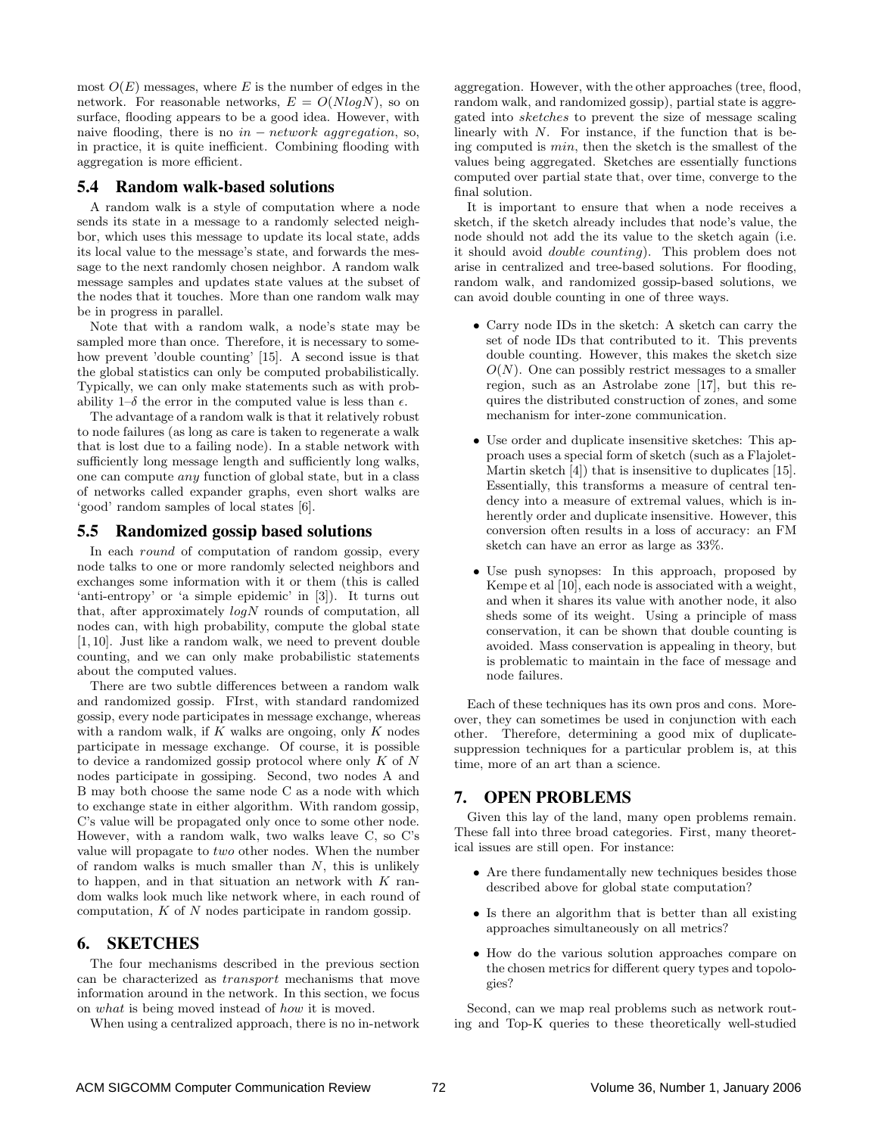most  $O(E)$  messages, where E is the number of edges in the network. For reasonable networks,  $E = O(N \log N)$ , so on surface, flooding appears to be a good idea. However, with naive flooding, there is no  $in - network$  aggregation, so, in practice, it is quite inefficient. Combining flooding with aggregation is more efficient.

#### **5.4 Random walk-based solutions**

A random walk is a style of computation where a node sends its state in a message to a randomly selected neighbor, which uses this message to update its local state, adds its local value to the message's state, and forwards the message to the next randomly chosen neighbor. A random walk message samples and updates state values at the subset of the nodes that it touches. More than one random walk may be in progress in parallel.

Note that with a random walk, a node's state may be sampled more than once. Therefore, it is necessary to somehow prevent 'double counting' [15]. A second issue is that the global statistics can only be computed probabilistically. Typically, we can only make statements such as with probability  $1-\delta$  the error in the computed value is less than  $\epsilon$ .

The advantage of a random walk is that it relatively robust to node failures (as long as care is taken to regenerate a walk that is lost due to a failing node). In a stable network with sufficiently long message length and sufficiently long walks, one can compute any function of global state, but in a class of networks called expander graphs, even short walks are 'good' random samples of local states [6].

# **5.5 Randomized gossip based solutions**

In each *round* of computation of random gossip, every node talks to one or more randomly selected neighbors and exchanges some information with it or them (this is called 'anti-entropy' or 'a simple epidemic' in [3]). It turns out that, after approximately  $logN$  rounds of computation, all nodes can, with high probability, compute the global state [1, 10]. Just like a random walk, we need to prevent double counting, and we can only make probabilistic statements about the computed values.

There are two subtle differences between a random walk and randomized gossip. FIrst, with standard randomized gossip, every node participates in message exchange, whereas with a random walk, if  $K$  walks are ongoing, only  $K$  nodes participate in message exchange. Of course, it is possible to device a randomized gossip protocol where only  $K$  of  $N$ nodes participate in gossiping. Second, two nodes A and B may both choose the same node C as a node with which to exchange state in either algorithm. With random gossip, C's value will be propagated only once to some other node. However, with a random walk, two walks leave C, so C's value will propagate to two other nodes. When the number of random walks is much smaller than  $N$ , this is unlikely to happen, and in that situation an network with  $K$  random walks look much like network where, in each round of computation, K of N nodes participate in random gossip.

# **6. SKETCHES**

The four mechanisms described in the previous section can be characterized as transport mechanisms that move information around in the network. In this section, we focus on what is being moved instead of how it is moved.

When using a centralized approach, there is no in-network

aggregation. However, with the other approaches (tree, flood, random walk, and randomized gossip), partial state is aggregated into sketches to prevent the size of message scaling linearly with N. For instance, if the function that is being computed is min, then the sketch is the smallest of the values being aggregated. Sketches are essentially functions computed over partial state that, over time, converge to the final solution.

It is important to ensure that when a node receives a sketch, if the sketch already includes that node's value, the node should not add the its value to the sketch again (i.e. it should avoid double counting). This problem does not arise in centralized and tree-based solutions. For flooding, random walk, and randomized gossip-based solutions, we can avoid double counting in one of three ways.

- Carry node IDs in the sketch: A sketch can carry the set of node IDs that contributed to it. This prevents double counting. However, this makes the sketch size  $O(N)$ . One can possibly restrict messages to a smaller region, such as an Astrolabe zone [17], but this requires the distributed construction of zones, and some mechanism for inter-zone communication.
- Use order and duplicate insensitive sketches: This approach uses a special form of sketch (such as a Flajolet-Martin sketch [4]) that is insensitive to duplicates [15]. Essentially, this transforms a measure of central tendency into a measure of extremal values, which is inherently order and duplicate insensitive. However, this conversion often results in a loss of accuracy: an FM sketch can have an error as large as 33%.
- Use push synopses: In this approach, proposed by Kempe et al [10], each node is associated with a weight, and when it shares its value with another node, it also sheds some of its weight. Using a principle of mass conservation, it can be shown that double counting is avoided. Mass conservation is appealing in theory, but is problematic to maintain in the face of message and node failures.

Each of these techniques has its own pros and cons. Moreover, they can sometimes be used in conjunction with each other. Therefore, determining a good mix of duplicatesuppression techniques for a particular problem is, at this time, more of an art than a science.

# **7. OPEN PROBLEMS**

Given this lay of the land, many open problems remain. These fall into three broad categories. First, many theoretical issues are still open. For instance:

- Are there fundamentally new techniques besides those described above for global state computation?
- Is there an algorithm that is better than all existing approaches simultaneously on all metrics?
- How do the various solution approaches compare on the chosen metrics for different query types and topologies?

Second, can we map real problems such as network routing and Top-K queries to these theoretically well-studied